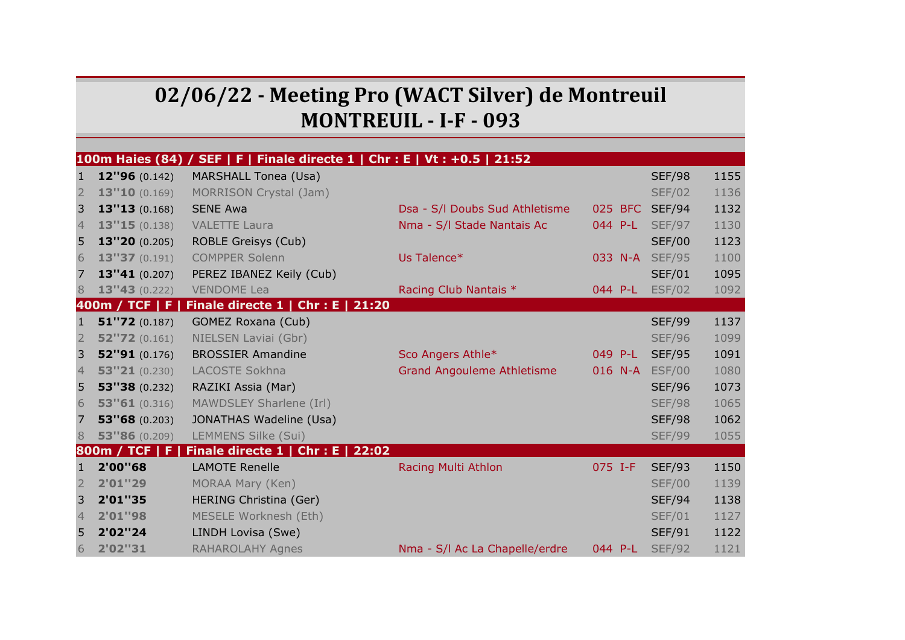## **02/06/22 - Meeting Pro (WACT Silver) de Montreuil MONTREUIL - I-F - 093**

|                |                | 100m Haies (84) / SEF   F   Finale directe 1   Chr : E   Vt : +0.5   21:52 |                                   |         |               |      |
|----------------|----------------|----------------------------------------------------------------------------|-----------------------------------|---------|---------------|------|
| $\mathbf{1}$   | 12"96 (0.142)  | <b>MARSHALL Tonea (Usa)</b>                                                |                                   |         | <b>SEF/98</b> | 1155 |
| $\overline{2}$ | 13"10(0.169)   | MORRISON Crystal (Jam)                                                     |                                   |         | <b>SEF/02</b> | 1136 |
| 3              | 13''13(0.168)  | <b>SENE Awa</b>                                                            | Dsa - S/I Doubs Sud Athletisme    | 025 BFC | <b>SEF/94</b> | 1132 |
| $\overline{4}$ | 13"15(0.138)   | <b>VALETTE Laura</b>                                                       | Nma - S/I Stade Nantais Ac        | 044 P-L | <b>SEF/97</b> | 1130 |
| 5              | 13"20 (0.205)  | <b>ROBLE Greisys (Cub)</b>                                                 |                                   |         | <b>SEF/00</b> | 1123 |
| 6              | 13"37 (0.191)  | <b>COMPPER Solenn</b>                                                      | Us Talence*                       | 033 N-A | <b>SEF/95</b> | 1100 |
| 7              | 13"41 (0.207)  | PEREZ IBANEZ Keily (Cub)                                                   |                                   |         | <b>SEF/01</b> | 1095 |
| 8              | 13''43(0.222)  | <b>VENDOME Lea</b>                                                         | Racing Club Nantais *             | 044 P-L | <b>ESF/02</b> | 1092 |
|                | 400m / TCF   F | Finale directe 1   Chr : E   21:20                                         |                                   |         |               |      |
| $\mathbf{1}$   | 51''72(0.187)  | GOMEZ Roxana (Cub)                                                         |                                   |         | <b>SEF/99</b> | 1137 |
| $\overline{2}$ | 52''72(0.161)  | NIELSEN Laviai (Gbr)                                                       |                                   |         | <b>SEF/96</b> | 1099 |
| 3              | 52''91(0.176)  | <b>BROSSIER Amandine</b>                                                   | Sco Angers Athle*                 | 049 P-L | <b>SEF/95</b> | 1091 |
| $\overline{4}$ | 53''21(0.230)  | LACOSTE Sokhna                                                             | <b>Grand Angouleme Athletisme</b> | 016 N-A | <b>ESF/00</b> | 1080 |
| 5              | 53''38(0.232)  | RAZIKI Assia (Mar)                                                         |                                   |         | <b>SEF/96</b> | 1073 |
| 6              | 53"61(0.316)   | MAWDSLEY Sharlene (Irl)                                                    |                                   |         | <b>SEF/98</b> | 1065 |
| 7              | 53''68(0.203)  | JONATHAS Wadeline (Usa)                                                    |                                   |         | <b>SEF/98</b> | 1062 |
| 8              | 53"86 (0.209)  | <b>LEMMENS Silke (Sui)</b>                                                 |                                   |         | <b>SEF/99</b> | 1055 |
|                | 800m / TCF   F | Finale directe 1   Chr : E   22:02                                         |                                   |         |               |      |
| $\mathbf{1}$   | 2'00"68        | <b>LAMOTE Renelle</b>                                                      | Racing Multi Athlon               | 075 I-F | <b>SEF/93</b> | 1150 |
| $\overline{2}$ | 2'01"29        | MORAA Mary (Ken)                                                           |                                   |         | <b>SEF/00</b> | 1139 |
| 3              | 2'01"35        | HERING Christina (Ger)                                                     |                                   |         | <b>SEF/94</b> | 1138 |
| $\overline{4}$ | 2'01"98        | MESELE Worknesh (Eth)                                                      |                                   |         | <b>SEF/01</b> | 1127 |
| 5              | 2'02"24        | LINDH Lovisa (Swe)                                                         |                                   |         | <b>SEF/91</b> | 1122 |
| 6              | 2'02"31        | <b>RAHAROLAHY Agnes</b>                                                    | Nma - S/I Ac La Chapelle/erdre    | 044 P-L | <b>SEF/92</b> | 1121 |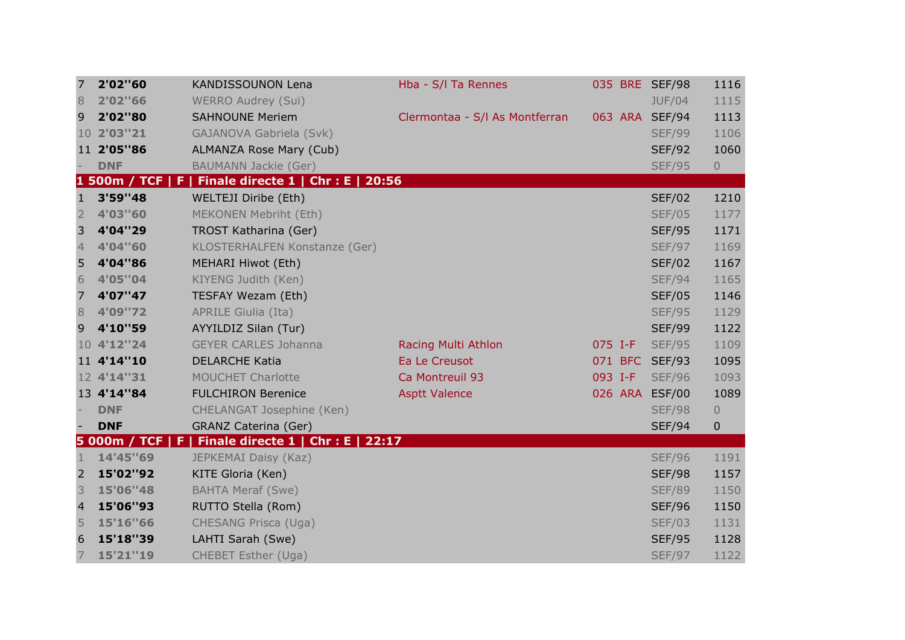| 7                        | 2'02"60          | <b>KANDISSOUNON Lena</b>                              | Hba - S/I Ta Rennes            |         | 035 BRE SEF/98 | 1116           |
|--------------------------|------------------|-------------------------------------------------------|--------------------------------|---------|----------------|----------------|
| 8                        | 2'02"66          | <b>WERRO Audrey (Sui)</b>                             |                                |         | <b>JUF/04</b>  | 1115           |
| 9                        | 2'02"80          | <b>SAHNOUNE Meriem</b>                                | Clermontaa - S/I As Montferran |         | 063 ARA SEF/94 | 1113           |
|                          | 10 2'03"21       | GAJANOVA Gabriela (Svk)                               |                                |         | <b>SEF/99</b>  | 1106           |
|                          | 11 2'05"86       | <b>ALMANZA Rose Mary (Cub)</b>                        |                                |         | <b>SEF/92</b>  | 1060           |
|                          | <b>DNF</b>       | <b>BAUMANN Jackie (Ger)</b>                           |                                |         | <b>SEF/95</b>  | $\overline{0}$ |
|                          | 1 500m / TCF   F | Finale directe $1 \mid$ Chr : E   20:56               |                                |         |                |                |
| $\mathbf{1}$             | 3'59"48          | WELTEJI Diribe (Eth)                                  |                                |         | <b>SEF/02</b>  | 1210           |
| $\overline{2}$           | 4'03"60          | MEKONEN Mebriht (Eth)                                 |                                |         | <b>SEF/05</b>  | 1177           |
| 3                        | 4'04"29          | <b>TROST Katharina (Ger)</b>                          |                                |         | <b>SEF/95</b>  | 1171           |
| $\overline{4}$           | 4'04"60          | KLOSTERHALFEN Konstanze (Ger)                         |                                |         | <b>SEF/97</b>  | 1169           |
| 5                        | 4'04"86          | MEHARI Hiwot (Eth)                                    |                                |         | <b>SEF/02</b>  | 1167           |
| $6\,$                    | 4'05"04          | KIYENG Judith (Ken)                                   |                                |         | <b>SEF/94</b>  | 1165           |
| 7                        | 4'07"47          | TESFAY Wezam (Eth)                                    |                                |         | <b>SEF/05</b>  | 1146           |
| 8                        | 4'09"72          | <b>APRILE Giulia (Ita)</b>                            |                                |         | <b>SEF/95</b>  | 1129           |
| 9                        | 4'10"59          | AYYILDIZ Silan (Tur)                                  |                                |         | <b>SEF/99</b>  | 1122           |
|                          | 10 4'12"24       | <b>GEYER CARLES Johanna</b>                           | Racing Multi Athlon            | 075 I-F | <b>SEF/95</b>  | 1109           |
|                          | 11 4'14"10       | <b>DELARCHE Katia</b>                                 | Ea Le Creusot                  |         | 071 BFC SEF/93 | 1095           |
|                          | 12 4'14"31       | <b>MOUCHET Charlotte</b>                              | Ca Montreuil 93                | 093 I-F | <b>SEF/96</b>  | 1093           |
|                          | 13 4'14"84       | <b>FULCHIRON Berenice</b>                             | <b>Asptt Valence</b>           |         | 026 ARA ESF/00 | 1089           |
|                          | <b>DNF</b>       | CHELANGAT Josephine (Ken)                             |                                |         | <b>SEF/98</b>  | $\overline{0}$ |
| $\overline{\phantom{a}}$ | <b>DNF</b>       | <b>GRANZ Caterina (Ger)</b>                           |                                |         | <b>SEF/94</b>  | 0              |
|                          |                  | 5 000m / TCF   F   Finale directe 1   Chr : E   22:17 |                                |         |                |                |
| $\mathbf{1}$             | 14'45"69         | JEPKEMAI Daisy (Kaz)                                  |                                |         | <b>SEF/96</b>  | 1191           |
| $\overline{2}$           | 15'02"92         | KITE Gloria (Ken)                                     |                                |         | <b>SEF/98</b>  | 1157           |
| 3                        | 15'06"48         | <b>BAHTA Meraf (Swe)</b>                              |                                |         | <b>SEF/89</b>  | 1150           |
| $\overline{4}$           | 15'06"93         | RUTTO Stella (Rom)                                    |                                |         | <b>SEF/96</b>  | 1150           |
| 5                        | 15'16"66         | CHESANG Prisca (Uga)                                  |                                |         | <b>SEF/03</b>  | 1131           |
| 6                        | 15'18"39         | LAHTI Sarah (Swe)                                     |                                |         | <b>SEF/95</b>  | 1128           |
| 7                        | 15'21"19         | CHEBET Esther (Uga)                                   |                                |         | <b>SEF/97</b>  | 1122           |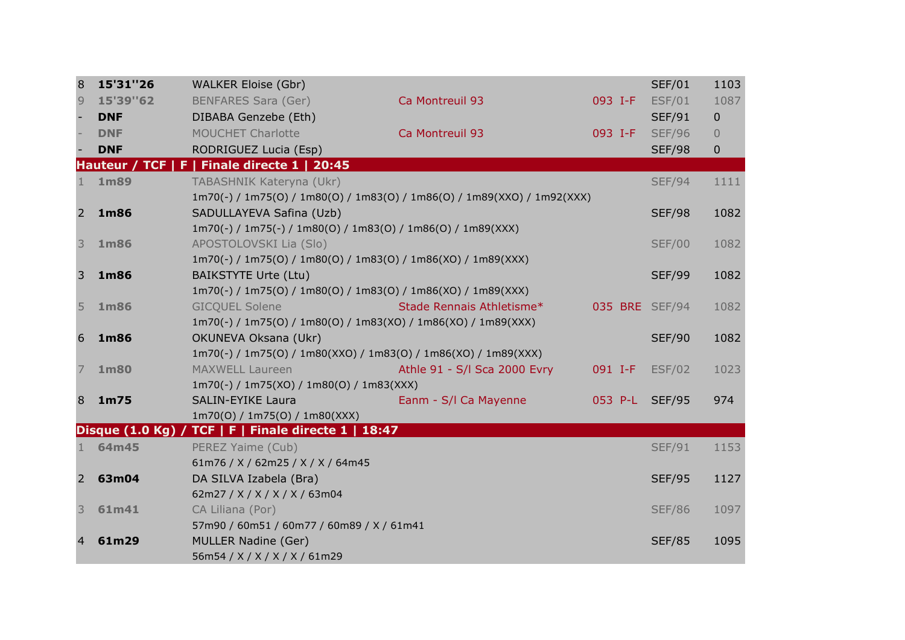| 8              | 15'31"26    | <b>WALKER Eloise (Gbr)</b>                                     |                                                                         |         | <b>SEF/01</b>  | 1103           |
|----------------|-------------|----------------------------------------------------------------|-------------------------------------------------------------------------|---------|----------------|----------------|
| 9              | 15'39"62    | <b>BENFARES Sara (Ger)</b>                                     | Ca Montreuil 93                                                         | 093 I-F | <b>ESF/01</b>  | 1087           |
|                | <b>DNF</b>  | DIBABA Genzebe (Eth)                                           |                                                                         |         | <b>SEF/91</b>  | $\mathbf 0$    |
|                | <b>DNF</b>  | <b>MOUCHET Charlotte</b>                                       | Ca Montreuil 93                                                         | 093 I-F | <b>SEF/96</b>  | $\overline{0}$ |
|                | <b>DNF</b>  | RODRIGUEZ Lucia (Esp)                                          |                                                                         |         | <b>SEF/98</b>  | $\mathbf 0$    |
|                |             | Hauteur / TCF   F   Finale directe 1   20:45                   |                                                                         |         |                |                |
| 1              | 1m89        | TABASHNIK Kateryna (Ukr)                                       |                                                                         |         | <b>SEF/94</b>  | 1111           |
|                |             |                                                                | 1m70(-) / 1m75(0) / 1m80(0) / 1m83(0) / 1m86(0) / 1m89(XX0) / 1m92(XXX) |         |                |                |
| 2              | 1m86        | SADULLAYEVA Safina (Uzb)                                       |                                                                         |         | <b>SEF/98</b>  | 1082           |
|                |             | 1m70(-) / 1m75(-) / 1m80(O) / 1m83(O) / 1m86(O) / 1m89(XXX)    |                                                                         |         |                |                |
| 3              | 1m86        | APOSTOLOVSKI Lia (Slo)                                         |                                                                         |         | <b>SEF/00</b>  | 1082           |
|                |             | 1m70(-) / 1m75(0) / 1m80(0) / 1m83(0) / 1m86(X0) / 1m89(XXX)   |                                                                         |         |                |                |
| 3              | 1m86        | <b>BAIKSTYTE Urte (Ltu)</b>                                    |                                                                         |         | <b>SEF/99</b>  | 1082           |
|                |             | 1m70(-) / 1m75(0) / 1m80(0) / 1m83(0) / 1m86(X0) / 1m89(XXX)   |                                                                         |         |                |                |
| 5              | 1m86        | <b>GICQUEL Solene</b>                                          | Stade Rennais Athletisme*                                               |         | 035 BRE SEF/94 | 1082           |
|                |             | 1m70(-) / 1m75(0) / 1m80(0) / 1m83(XO) / 1m86(XO) / 1m89(XXX)  |                                                                         |         |                |                |
| 6              | 1m86        | OKUNEVA Oksana (Ukr)                                           |                                                                         |         | <b>SEF/90</b>  | 1082           |
|                |             | 1m70(-) / 1m75(0) / 1m80(XXO) / 1m83(0) / 1m86(XO) / 1m89(XXX) |                                                                         |         |                |                |
| 7              | <b>1m80</b> | <b>MAXWELL Laureen</b>                                         | Athle 91 - S/I Sca 2000 Evry                                            | 091 I-F | <b>ESF/02</b>  | 1023           |
|                |             | 1m70(-) / 1m75(XO) / 1m80(O) / 1m83(XXX)                       |                                                                         |         |                |                |
| 8              | 1m75        | <b>SALIN-EYIKE Laura</b>                                       | Eanm - S/I Ca Mayenne                                                   |         | 053 P-L SEF/95 | 974            |
|                |             | 1m70(0) / 1m75(0) / 1m80(XXX)                                  |                                                                         |         |                |                |
|                |             | Disque (1.0 Kg) / TCF   F   Finale directe 1   18:47           |                                                                         |         |                |                |
| 1              | 64m45       | PEREZ Yaime (Cub)                                              |                                                                         |         | <b>SEF/91</b>  | 1153           |
|                |             | 61m76 / X / 62m25 / X / X / 64m45                              |                                                                         |         |                |                |
| $2^{\circ}$    | 63m04       | DA SILVA Izabela (Bra)                                         |                                                                         |         | <b>SEF/95</b>  | 1127           |
|                |             | 62m27 / X / X / X / X / 63m04                                  |                                                                         |         |                |                |
| 3              | 61m41       | CA Liliana (Por)                                               |                                                                         |         | <b>SEF/86</b>  | 1097           |
|                |             | 57m90 / 60m51 / 60m77 / 60m89 / X / 61m41                      |                                                                         |         |                |                |
| $\overline{4}$ | 61m29       | <b>MULLER Nadine (Ger)</b>                                     |                                                                         |         | <b>SEF/85</b>  | 1095           |
|                |             | 56m54 / X / X / X / X / 61m29                                  |                                                                         |         |                |                |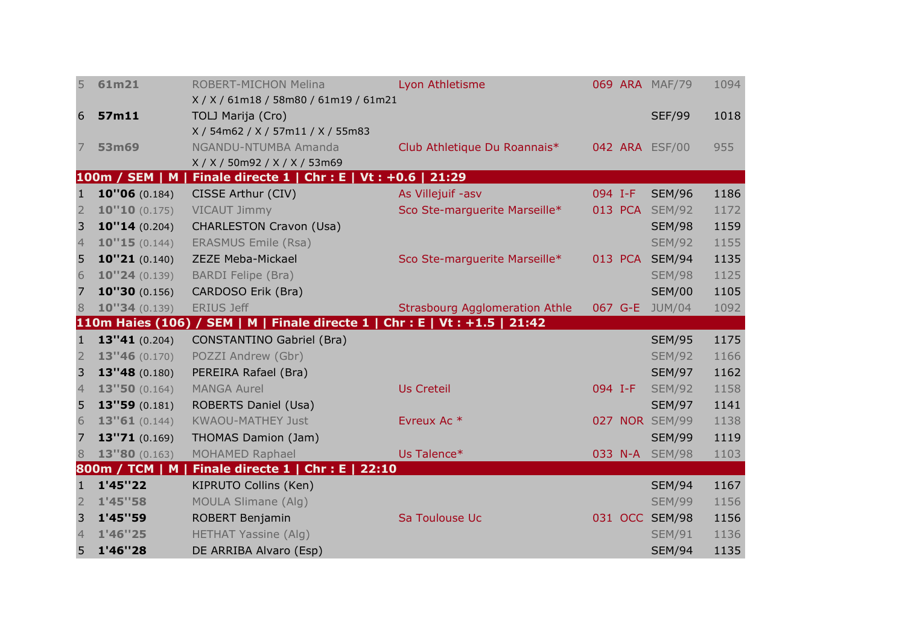| 5                   | 61m21              | <b>ROBERT-MICHON Melina</b>                                                 | Lyon Athletisme                       |         | 069 ARA MAF/79                 | 1094         |
|---------------------|--------------------|-----------------------------------------------------------------------------|---------------------------------------|---------|--------------------------------|--------------|
|                     |                    | X/X/61m18/58m80/61m19/61m21                                                 |                                       |         |                                |              |
| 6                   | 57m11              | TOLJ Marija (Cro)                                                           |                                       |         | <b>SEF/99</b>                  | 1018         |
|                     |                    | X / 54m62 / X / 57m11 / X / 55m83                                           |                                       |         |                                |              |
| 7                   | 53m69              | NGANDU-NTUMBA Amanda                                                        | Club Athletique Du Roannais*          |         | 042 ARA ESF/00                 | 955          |
|                     | 100m / SEM   M     | X/X/50m92/X/X/53m69<br>Finale directe 1   Chr : E   Vt : +0.6   21:29       |                                       |         |                                |              |
| 1                   | 10"06 (0.184)      | CISSE Arthur (CIV)                                                          | As Villejuif -asv                     | 094 I-F | <b>SEM/96</b>                  | 1186         |
| $\overline{2}$      | 10"10(0.175)       | <b>VICAUT Jimmy</b>                                                         | Sco Ste-marguerite Marseille*         |         | 013 PCA SEM/92                 | 1172         |
| 3                   | 10''14(0.204)      | <b>CHARLESTON Cravon (Usa)</b>                                              |                                       |         | <b>SEM/98</b>                  | 1159         |
| $\overline{4}$      | 10"15(0.144)       | <b>ERASMUS Emile (Rsa)</b>                                                  |                                       |         | <b>SEM/92</b>                  | 1155         |
| 5                   | 10''21(0.140)      | <b>ZEZE Meba-Mickael</b>                                                    | Sco Ste-marguerite Marseille*         |         | 013 PCA SEM/94                 | 1135         |
| 6                   | 10''24(0.139)      | <b>BARDI Felipe (Bra)</b>                                                   |                                       |         | <b>SEM/98</b>                  | 1125         |
| 7                   | 10''30(0.156)      | CARDOSO Erik (Bra)                                                          |                                       |         | <b>SEM/00</b>                  | 1105         |
| 8                   | 10''34(0.139)      | <b>ERIUS Jeff</b>                                                           | <b>Strasbourg Agglomeration Athle</b> |         | 067 G-E JUM/04                 | 1092         |
|                     |                    | 110m Haies (106) / SEM   M   Finale directe 1   Chr : E   Vt : +1.5   21:42 |                                       |         |                                |              |
| $\mathbf{1}$        | 13"41 (0.204)      | <b>CONSTANTINO Gabriel (Bra)</b>                                            |                                       |         | <b>SEM/95</b>                  | 1175         |
| $\overline{2}$      | 13''46(0.170)      | POZZI Andrew (Gbr)                                                          |                                       |         | <b>SEM/92</b>                  | 1166         |
| 3                   | 13"48 (0.180)      | PEREIRA Rafael (Bra)                                                        |                                       |         | <b>SEM/97</b>                  | 1162         |
| $\overline{4}$      | 13"50 (0.164)      | <b>MANGA Aurel</b>                                                          | <b>Us Creteil</b>                     | 094 I-F | <b>SEM/92</b>                  | 1158         |
| 5                   | 13"59 (0.181)      |                                                                             |                                       |         |                                |              |
| 6                   |                    | <b>ROBERTS Daniel (Usa)</b>                                                 |                                       |         | <b>SEM/97</b>                  | 1141         |
|                     | 13"61(0.144)       | <b>KWAOU-MATHEY Just</b>                                                    | Evreux Ac <sup>*</sup>                |         | 027 NOR SEM/99                 | 1138         |
| 7                   | 13"71 (0.169)      | THOMAS Damion (Jam)                                                         |                                       |         | <b>SEM/99</b>                  | 1119         |
| 8                   | 13"80 (0.163)      | MOHAMED Raphael                                                             | Us Talence*                           |         | 033 N-A SEM/98                 | 1103         |
|                     | 800m / TCM   M     | Finale directe 1   Chr : E   22:10                                          |                                       |         |                                |              |
| 1                   | 1'45"22            | KIPRUTO Collins (Ken)                                                       |                                       |         | <b>SEM/94</b>                  | 1167         |
| $\overline{2}$      | 1'45"58            | <b>MOULA Slimane (Alg)</b>                                                  |                                       |         | <b>SEM/99</b>                  | 1156         |
| 3                   | 1'45"59            | ROBERT Benjamin                                                             | Sa Toulouse Uc                        |         | 031 OCC SEM/98                 | 1156         |
| $\overline{4}$<br>5 | 1'46"25<br>1'46"28 | <b>HETHAT Yassine (Alg)</b><br>DE ARRIBA Alvaro (Esp)                       |                                       |         | <b>SEM/91</b><br><b>SEM/94</b> | 1136<br>1135 |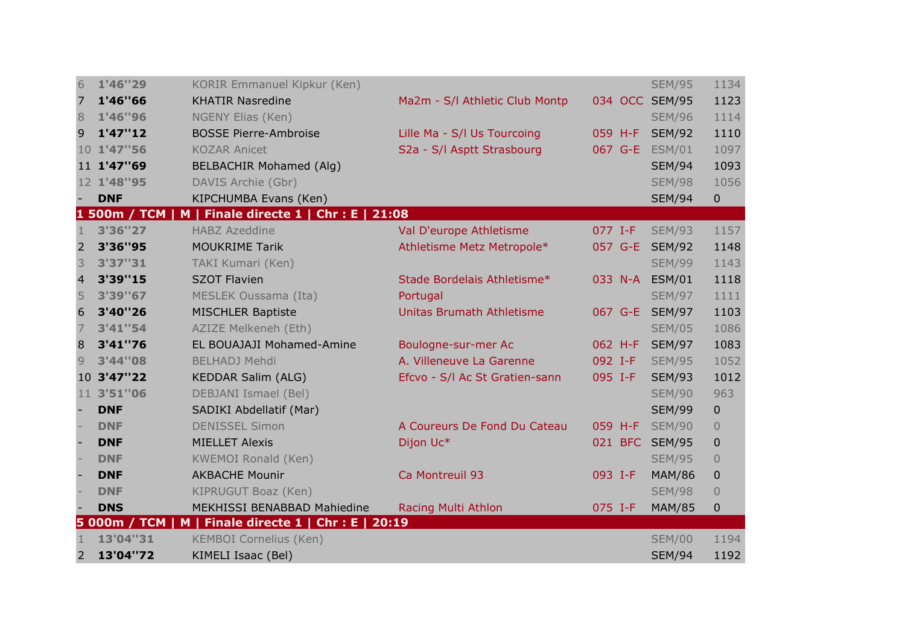| 6              | 1'46"29      | <b>KORIR Emmanuel Kipkur (Ken)</b>                    |                                |         | <b>SEM/95</b>  | 1134           |
|----------------|--------------|-------------------------------------------------------|--------------------------------|---------|----------------|----------------|
| 7              | 1'46"66      | <b>KHATIR Nasredine</b>                               | Ma2m - S/I Athletic Club Montp |         | 034 OCC SEM/95 | 1123           |
| 8              | 1'46"96      | NGENY Elias (Ken)                                     |                                |         | <b>SEM/96</b>  | 1114           |
| 9              | 1'47''12     | <b>BOSSE Pierre-Ambroise</b>                          | Lille Ma - S/I Us Tourcoing    | 059 H-F | <b>SEM/92</b>  | 1110           |
|                | 10 1'47"56   | <b>KOZAR Anicet</b>                                   | S2a - S/l Asptt Strasbourg     | 067 G-E | <b>ESM/01</b>  | 1097           |
|                | 11 1'47"69   | <b>BELBACHIR Mohamed (Alg)</b>                        |                                |         | <b>SEM/94</b>  | 1093           |
|                | 12 1'48"95   | DAVIS Archie (Gbr)                                    |                                |         | <b>SEM/98</b>  | 1056           |
|                | <b>DNF</b>   | KIPCHUMBA Evans (Ken)                                 |                                |         | <b>SEM/94</b>  | $\mathbf 0$    |
|                |              | 1 500m / TCM   M   Finale directe 1   Chr : E   21:08 |                                |         |                |                |
| $\mathbf{1}$   | 3'36"27      | <b>HABZ Azeddine</b>                                  | Val D'europe Athletisme        | 077 I-F | <b>SEM/93</b>  | 1157           |
| 2              | 3'36"95      | <b>MOUKRIME Tarik</b>                                 | Athletisme Metz Metropole*     | 057 G-E | <b>SEM/92</b>  | 1148           |
| 3              | 3'37"31      | <b>TAKI Kumari (Ken)</b>                              |                                |         | <b>SEM/99</b>  | 1143           |
| $\overline{4}$ | 3'39"15      | <b>SZOT Flavien</b>                                   | Stade Bordelais Athletisme*    |         | 033 N-A ESM/01 | 1118           |
| 5              | 3'39"67      | MESLEK Oussama (Ita)                                  | Portugal                       |         | <b>SEM/97</b>  | 1111           |
| 6              | 3'40"26      | <b>MISCHLER Baptiste</b>                              | Unitas Brumath Athletisme      |         | 067 G-E SEM/97 | 1103           |
| 7              | 3'41"54      | AZIZE Melkeneh (Eth)                                  |                                |         | <b>SEM/05</b>  | 1086           |
| 8              | 3'41"76      | EL BOUAJAJI Mohamed-Amine                             | Boulogne-sur-mer Ac            |         | 062 H-F SEM/97 | 1083           |
| 9              | 3'44"08      | <b>BELHADJ Mehdi</b>                                  | A. Villeneuve La Garenne       | 092 I-F | <b>SEM/95</b>  | 1052           |
|                | 10 3'47"22   | <b>KEDDAR Salim (ALG)</b>                             | Efcvo - S/I Ac St Gratien-sann | 095 I-F | <b>SEM/93</b>  | 1012           |
| 11             | 3'51"06      | DEBJANI Ismael (Bel)                                  |                                |         | <b>SEM/90</b>  | 963            |
|                | <b>DNF</b>   | SADIKI Abdellatif (Mar)                               |                                |         | <b>SEM/99</b>  | $\overline{0}$ |
|                | <b>DNF</b>   | <b>DENISSEL Simon</b>                                 | A Coureurs De Fond Du Cateau   | 059 H-F | <b>SEM/90</b>  | $\mathbf 0$    |
|                | <b>DNF</b>   | <b>MIELLET Alexis</b>                                 | Dijon Uc*                      |         | 021 BFC SEM/95 | $\mathbf 0$    |
|                | <b>DNF</b>   | <b>KWEMOI Ronald (Ken)</b>                            |                                |         | <b>SEM/95</b>  | $\overline{0}$ |
|                | <b>DNF</b>   | <b>AKBACHE Mounir</b>                                 | Ca Montreuil 93                | 093 I-F | <b>MAM/86</b>  | $\pmb{0}$      |
|                | <b>DNF</b>   | KIPRUGUT Boaz (Ken)                                   |                                |         | <b>SEM/98</b>  | $\overline{0}$ |
|                | <b>DNS</b>   | MEKHISSI BENABBAD Mahiedine                           | Racing Multi Athlon            | 075 I-F | <b>MAM/85</b>  | $\mathbf{0}$   |
|                | 5 000m / TCM | M   Finale directe $1$   Chr : E   20:19              |                                |         |                |                |
| $\mathbf{1}$   | 13'04"31     | <b>KEMBOI Cornelius (Ken)</b>                         |                                |         | <b>SEM/00</b>  | 1194           |
| 2              | 13'04"72     | KIMELI Isaac (Bel)                                    |                                |         | <b>SEM/94</b>  | 1192           |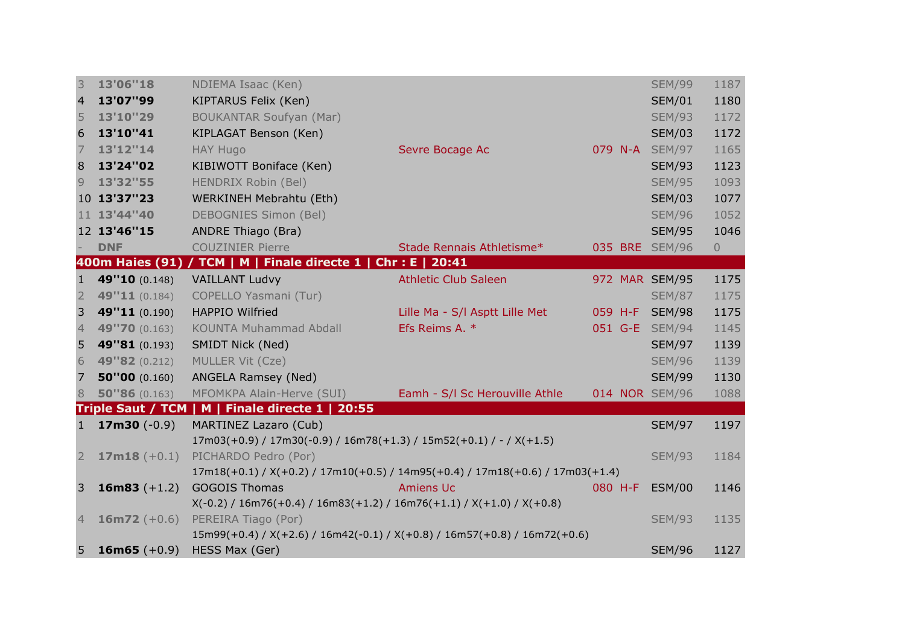| 3                       | 13'06"18       | NDIEMA Isaac (Ken)                                                                      |                                |         | <b>SEM/99</b>  | 1187        |
|-------------------------|----------------|-----------------------------------------------------------------------------------------|--------------------------------|---------|----------------|-------------|
| $\overline{\mathbf{4}}$ | 13'07"99       | KIPTARUS Felix (Ken)                                                                    |                                |         | <b>SEM/01</b>  | 1180        |
| 5                       | 13'10"29       | <b>BOUKANTAR Soufyan (Mar)</b>                                                          |                                |         | <b>SEM/93</b>  | 1172        |
| 6                       | 13'10"41       | KIPLAGAT Benson (Ken)                                                                   |                                |         | <b>SEM/03</b>  | 1172        |
| $\overline{7}$          | 13'12"14       | <b>HAY Hugo</b>                                                                         | Sevre Bocage Ac                |         | 079 N-A SEM/97 | 1165        |
| 8                       | 13'24"02       | KIBIWOTT Boniface (Ken)                                                                 |                                |         | <b>SEM/93</b>  | 1123        |
| 9                       | 13'32"55       | HENDRIX Robin (Bel)                                                                     |                                |         | <b>SEM/95</b>  | 1093        |
|                         | 10 13'37"23    | WERKINEH Mebrahtu (Eth)                                                                 |                                |         | <b>SEM/03</b>  | 1077        |
|                         | 11 13'44"40    | <b>DEBOGNIES Simon (Bel)</b>                                                            |                                |         | <b>SEM/96</b>  | 1052        |
|                         | 12 13'46"15    | <b>ANDRE Thiago (Bra)</b>                                                               |                                |         | <b>SEM/95</b>  | 1046        |
|                         | <b>DNF</b>     | <b>COUZINIER Pierre</b>                                                                 | Stade Rennais Athletisme*      |         | 035 BRE SEM/96 | $\mathbf 0$ |
|                         |                | 400m Haies (91) / TCM   M   Finale directe 1   Chr : E   20:41                          |                                |         |                |             |
| 1                       | 49"10 (0.148)  | <b>VAILLANT Ludvy</b>                                                                   | <b>Athletic Club Saleen</b>    |         | 972 MAR SEM/95 | 1175        |
| $\overline{2}$          | 49"11 (0.184)  | COPELLO Yasmani (Tur)                                                                   |                                |         | <b>SEM/87</b>  | 1175        |
| 3                       | 49"11 (0.190)  | <b>HAPPIO Wilfried</b>                                                                  | Lille Ma - S/I Asptt Lille Met |         | 059 H-F SEM/98 | 1175        |
| $\overline{4}$          | 49"70 (0.163)  | <b>KOUNTA Muhammad Abdall</b>                                                           | Efs Reims A. *                 |         | 051 G-E SEM/94 | 1145        |
| 5                       | 49"81 (0.193)  | SMIDT Nick (Ned)                                                                        |                                |         | <b>SEM/97</b>  | 1139        |
| 6                       | 49"82 (0.212)  | MULLER Vit (Cze)                                                                        |                                |         | <b>SEM/96</b>  | 1139        |
| $\overline{7}$          | 50''00(0.160)  | ANGELA Ramsey (Ned)                                                                     |                                |         | <b>SEM/99</b>  | 1130        |
| 8                       | 50''86(0.163)  | MFOMKPA Alain-Herve (SUI)                                                               | Eamh - S/I Sc Herouville Athle |         | 014 NOR SEM/96 | 1088        |
|                         |                | Triple Saut / TCM   M   Finale directe 1   20:55                                        |                                |         |                |             |
| 1                       | $17m30 (-0.9)$ | MARTINEZ Lazaro (Cub)                                                                   |                                |         | <b>SEM/97</b>  | 1197        |
|                         |                | $17m03(+0.9) / 17m30(-0.9) / 16m78(+1.3) / 15m52(+0.1) / - / X(+1.5)$                   |                                |         |                |             |
| $\overline{2}$          | $17m18 (+0.1)$ | PICHARDO Pedro (Por)                                                                    |                                |         | <b>SEM/93</b>  | 1184        |
|                         |                | $17m18(+0.1)$ / X(+0.2) / $17m10(+0.5)$ / $14m95(+0.4)$ / $17m18(+0.6)$ / $17m03(+1.4)$ |                                |         |                |             |
| 3                       | 16m83 $(+1.2)$ | <b>GOGOIS Thomas</b>                                                                    | <b>Amiens Uc</b>               | 080 H-F | <b>ESM/00</b>  | 1146        |
|                         |                | $X(-0.2) / 16m76(+0.4) / 16m83(+1.2) / 16m76(+1.1) / X(+1.0) / X(+0.8)$                 |                                |         |                |             |
| $\overline{4}$          | $16m72 (+0.6)$ | PEREIRA Tiago (Por)                                                                     |                                |         | <b>SEM/93</b>  | 1135        |
|                         |                | 15m99(+0.4) / X(+2.6) / 16m42(-0.1) / X(+0.8) / 16m57(+0.8) / 16m72(+0.6)               |                                |         |                |             |
| 5                       | 16m65 $(+0.9)$ | HESS Max (Ger)                                                                          |                                |         | <b>SEM/96</b>  | 1127        |